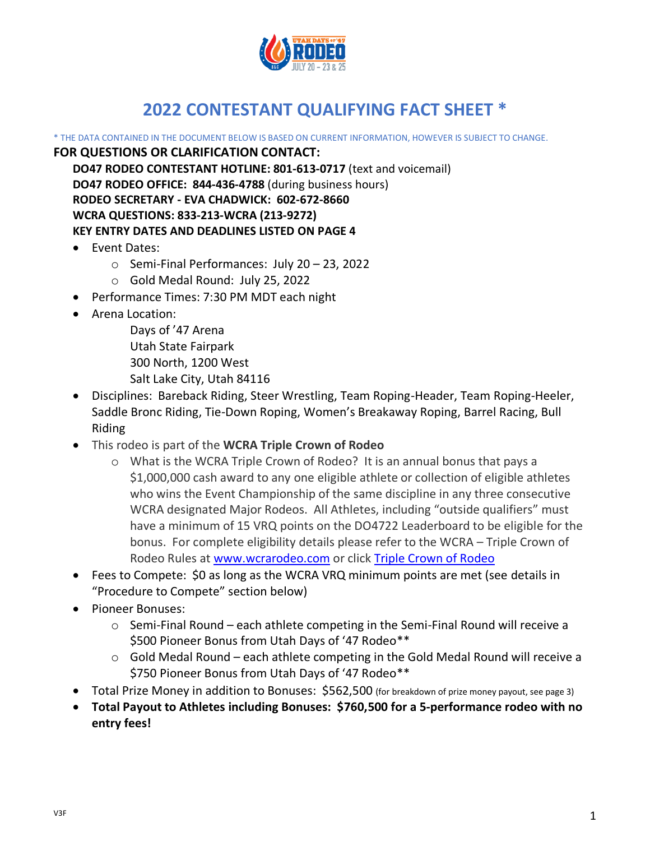

# **2022 CONTESTANT QUALIFYING FACT SHEET \***

\* THE DATA CONTAINED IN THE DOCUMENT BELOW IS BASED ON CURRENT INFORMATION, HOWEVER IS SUBJECT TO CHANGE. **FOR QUESTIONS OR CLARIFICATION CONTACT:**

**DO47 RODEO CONTESTANT HOTLINE: 801-613-0717** (text and voicemail) **DO47 RODEO OFFICE: 844-436-4788** (during business hours) **RODEO SECRETARY - EVA CHADWICK: 602-672-8660 WCRA QUESTIONS: 833-213-WCRA (213-9272) KEY ENTRY DATES AND DEADLINES LISTED ON PAGE 4**

- Event Dates:
	- o Semi-Final Performances: July 20 23, 2022
	- o Gold Medal Round: July 25, 2022
- Performance Times: 7:30 PM MDT each night
- Arena Location:
	- Days of '47 Arena Utah State Fairpark 300 North, 1200 West Salt Lake City, Utah 84116
- Disciplines: Bareback Riding, Steer Wrestling, Team Roping-Header, Team Roping-Heeler, Saddle Bronc Riding, Tie-Down Roping, Women's Breakaway Roping, Barrel Racing, Bull Riding
- This rodeo is part of the **WCRA Triple Crown of Rodeo**
	- o What is the WCRA Triple Crown of Rodeo? It is an annual bonus that pays a \$1,000,000 cash award to any one eligible athlete or collection of eligible athletes who wins the Event Championship of the same discipline in any three consecutive WCRA designated Major Rodeos. All Athletes, including "outside qualifiers" must have a minimum of 15 VRQ points on the DO4722 Leaderboard to be eligible for the bonus. For complete eligibility details please refer to the WCRA – Triple Crown of Rodeo Rules at [www.wcrarodeo.com](http://www.wcrarodeo.com/) or click [Triple Crown of Rodeo](https://wcrarodeo.com/wcra-triple-crown-of-rodeo/)
- Fees to Compete: \$0 as long as the WCRA VRQ minimum points are met (see details in "Procedure to Compete" section below)
- Pioneer Bonuses:
	- o Semi-Final Round each athlete competing in the Semi-Final Round will receive a \$500 Pioneer Bonus from Utah Days of '47 Rodeo\*\*
	- o Gold Medal Round each athlete competing in the Gold Medal Round will receive a \$750 Pioneer Bonus from Utah Days of '47 Rodeo\*\*
- Total Prize Money in addition to Bonuses: \$562,500 (for breakdown of prize money payout, see page 3)
- **Total Payout to Athletes including Bonuses: \$760,500 for a 5-performance rodeo with no entry fees!**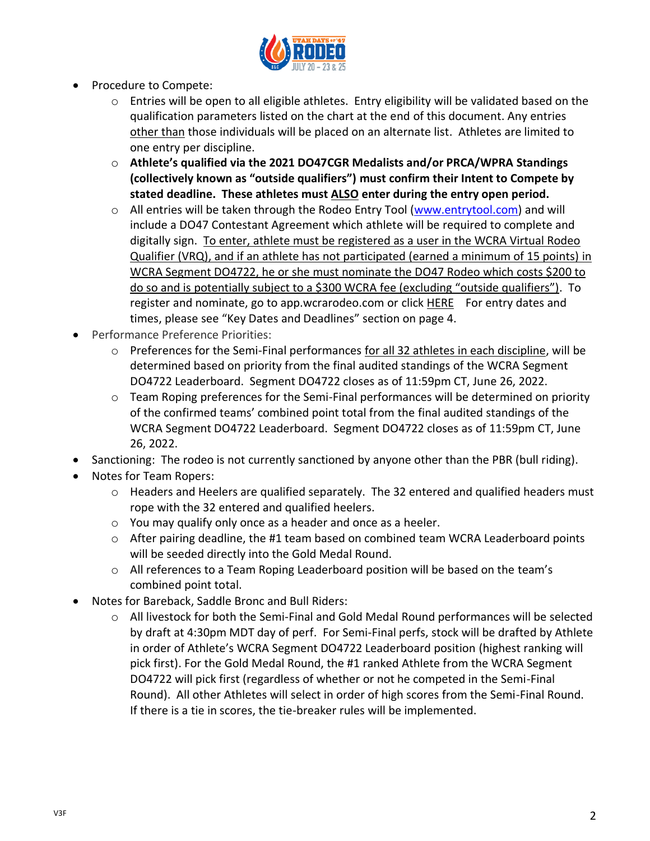

- Procedure to Compete:
	- o Entries will be open to all eligible athletes. Entry eligibility will be validated based on the qualification parameters listed on the chart at the end of this document. Any entries other than those individuals will be placed on an alternate list. Athletes are limited to one entry per discipline.
	- o **Athlete's qualified via the 2021 DO47CGR Medalists and/or PRCA/WPRA Standings (collectively known as "outside qualifiers") must confirm their Intent to Compete by stated deadline. These athletes must ALSO enter during the entry open period.**
	- o All entries will be taken through the Rodeo Entry Tool [\(www.entrytool.com\)](http://www.entrytool.com/) and will include a DO47 Contestant Agreement which athlete will be required to complete and digitally sign. To enter, athlete must be registered as a user in the WCRA Virtual Rodeo Qualifier (VRQ), and if an athlete has not participated (earned a minimum of 15 points) in WCRA Segment DO4722, he or she must nominate the DO47 Rodeo which costs \$200 to do so and is potentially subject to a \$300 WCRA fee (excluding "outside qualifiers"). To register and nominate, go to app.wcrarodeo.com or click [HERE](http://app.wcrarodeo.com/) For entry dates and times, please see "Key Dates and Deadlines" section on page 4.
- Performance Preference Priorities:
	- o Preferences for the Semi-Final performances for all 32 athletes in each discipline, will be determined based on priority from the final audited standings of the WCRA Segment DO4722 Leaderboard. Segment DO4722 closes as of 11:59pm CT, June 26, 2022.
	- o Team Roping preferences for the Semi-Final performances will be determined on priority of the confirmed teams' combined point total from the final audited standings of the WCRA Segment DO4722 Leaderboard. Segment DO4722 closes as of 11:59pm CT, June 26, 2022.
- Sanctioning: The rodeo is not currently sanctioned by anyone other than the PBR (bull riding).
- Notes for Team Ropers:
	- $\circ$  Headers and Heelers are qualified separately. The 32 entered and qualified headers must rope with the 32 entered and qualified heelers.
	- o You may qualify only once as a header and once as a heeler.
	- $\circ$  After pairing deadline, the #1 team based on combined team WCRA Leaderboard points will be seeded directly into the Gold Medal Round.
	- $\circ$  All references to a Team Roping Leaderboard position will be based on the team's combined point total.
- Notes for Bareback, Saddle Bronc and Bull Riders:
	- o All livestock for both the Semi-Final and Gold Medal Round performances will be selected by draft at 4:30pm MDT day of perf. For Semi-Final perfs, stock will be drafted by Athlete in order of Athlete's WCRA Segment DO4722 Leaderboard position (highest ranking will pick first). For the Gold Medal Round, the #1 ranked Athlete from the WCRA Segment DO4722 will pick first (regardless of whether or not he competed in the Semi-Final Round). All other Athletes will select in order of high scores from the Semi-Final Round. If there is a tie in scores, the tie-breaker rules will be implemented.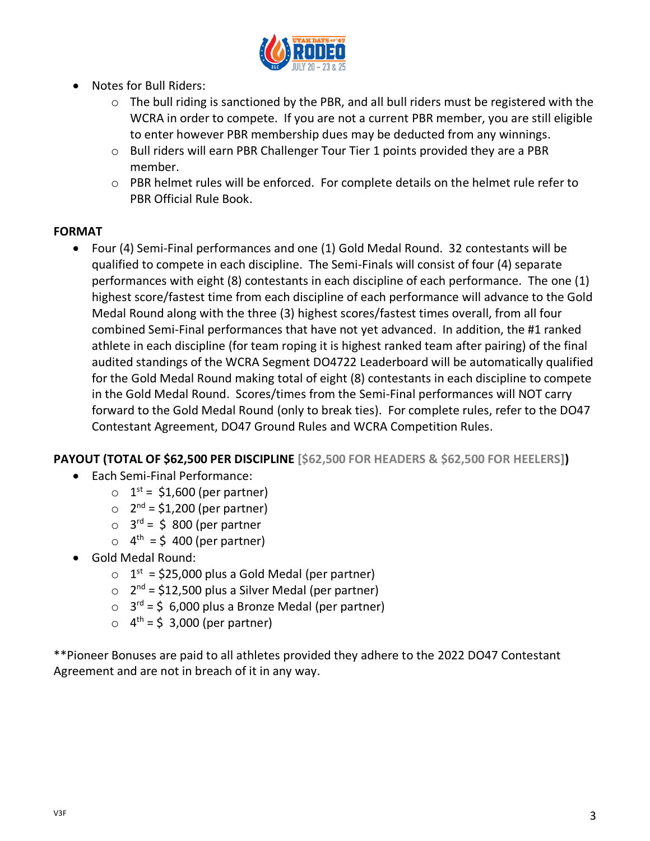

- Notes for Bull Riders:
	- o The bull riding is sanctioned by the PBR, and all bull riders must be registered with the WCRA in order to compete. If you are not a current PBR member, you are still eligible to enter however PBR membership dues may be deducted from any winnings.
	- o Bull riders will earn PBR Challenger Tour Tier 1 points provided they are a PBR member.
	- o PBR helmet rules will be enforced. For complete details on the helmet rule refer to PBR Official Rule Book.

## **FORMAT**

• Four (4) Semi-Final performances and one (1) Gold Medal Round. 32 contestants will be qualified to compete in each discipline. The Semi-Finals will consist of four (4) separate performances with eight (8) contestants in each discipline of each performance. The one (1) highest score/fastest time from each discipline of each performance will advance to the Gold Medal Round along with the three (3) highest scores/fastest times overall, from all four combined Semi-Final performances that have not yet advanced. In addition, the #1 ranked athlete in each discipline (for team roping it is highest ranked team after pairing) of the final audited standings of the WCRA Segment DO4722 Leaderboard will be automatically qualified for the Gold Medal Round making total of eight (8) contestants in each discipline to compete in the Gold Medal Round. Scores/times from the Semi-Final performances will NOT carry forward to the Gold Medal Round (only to break ties). For complete rules, refer to the DO47 Contestant Agreement, DO47 Ground Rules and WCRA Competition Rules.

# **PAYOUT (TOTAL OF \$62,500 PER DISCIPLINE [\$62,500 FOR HEADERS & \$62,500 FOR HEELERS])**

- Each Semi-Final Performance:
	- $\circ$  1<sup>st</sup> = \$1,600 (per partner)
	- $\circ$  2<sup>nd</sup> = \$1,200 (per partner)
	- $\circ$  3<sup>rd</sup> = \$ 800 (per partner
	- $\circ$  4<sup>th</sup> = \$400 (per partner)
- Gold Medal Round:
	- $\circ$  1<sup>st</sup> = \$25,000 plus a Gold Medal (per partner)
	- $\circ$  2<sup>nd</sup> = \$12,500 plus a Silver Medal (per partner)
	- $\circ$  3<sup>rd</sup> = \$ 6,000 plus a Bronze Medal (per partner)
	- $\circ$  4<sup>th</sup> = \$ 3,000 (per partner)

\*\*Pioneer Bonuses are paid to all athletes provided they adhere to the 2022 DO47 Contestant Agreement and are not in breach of it in any way.